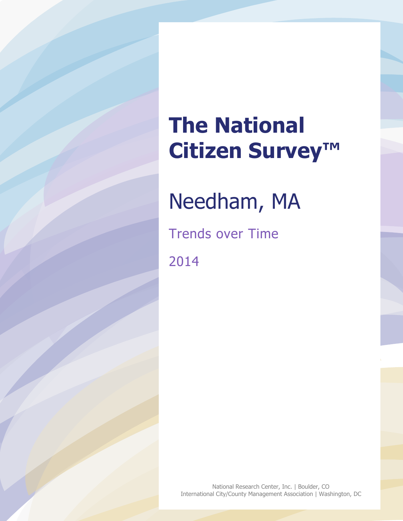# **The National Citizen Survey™**

Needham, MA

Trends over Time 2014

> National Research Center, Inc. | Boulder, CO International City/County Management Association | Washington, DC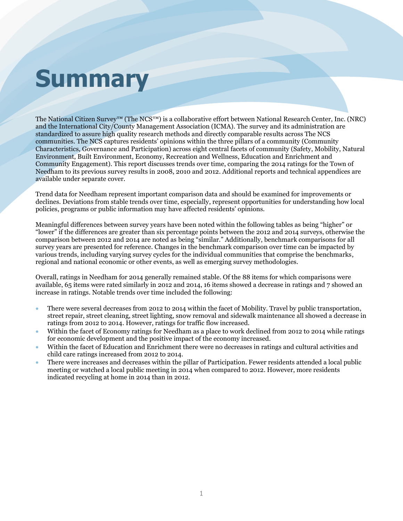# **Summary**

The National Citizen Survey™ (The NCS™) is a collaborative effort between National Research Center, Inc. (NRC) and the International City/County Management Association (ICMA). The survey and its administration are standardized to assure high quality research methods and directly comparable results across The NCS communities. The NCS captures residents' opinions within the three pillars of a community (Community Characteristics, Governance and Participation) across eight central facets of community (Safety, Mobility, Natural Environment, Built Environment, Economy, Recreation and Wellness, Education and Enrichment and Community Engagement). This report discusses trends over time, comparing the 2014 ratings for the Town of Needham to its previous survey results in 2008, 2010 and 2012. Additional reports and technical appendices are available under separate cover.

Trend data for Needham represent important comparison data and should be examined for improvements or declines. Deviations from stable trends over time, especially, represent opportunities for understanding how local policies, programs or public information may have affected residents' opinions.

Meaningful differences between survey years have been noted within the following tables as being "higher" or "lower" if the differences are greater than six percentage points between the 2012 and 2014 surveys, otherwise the comparison between 2012 and 2014 are noted as being "similar." Additionally, benchmark comparisons for all survey years are presented for reference. Changes in the benchmark comparison over time can be impacted by various trends, including varying survey cycles for the individual communities that comprise the benchmarks, regional and national economic or other events, as well as emerging survey methodologies.

Overall, ratings in Needham for 2014 generally remained stable. Of the 88 items for which comparisons were available, 65 items were rated similarly in 2012 and 2014, 16 items showed a decrease in ratings and 7 showed an increase in ratings. Notable trends over time included the following:

- There were several decreases from 2012 to 2014 within the facet of Mobility. Travel by public transportation, street repair, street cleaning, street lighting, snow removal and sidewalk maintenance all showed a decrease in ratings from 2012 to 2014. However, ratings for traffic flow increased.
- Within the facet of Economy ratings for Needham as a place to work declined from 2012 to 2014 while ratings for economic development and the positive impact of the economy increased.
- Within the facet of Education and Enrichment there were no decreases in ratings and cultural activities and child care ratings increased from 2012 to 2014.
- There were increases and decreases within the pillar of Participation. Fewer residents attended a local public meeting or watched a local public meeting in 2014 when compared to 2012. However, more residents indicated recycling at home in 2014 than in 2012.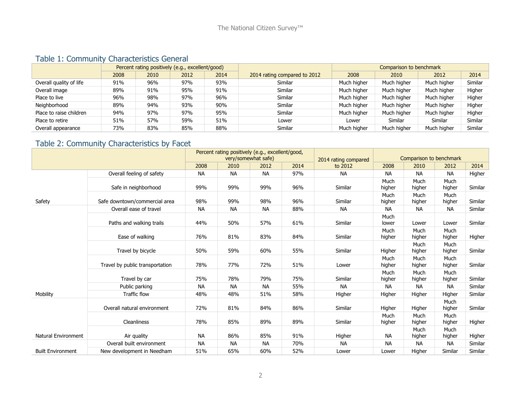#### Table 1: Community Characteristics General

|                         |      | Percent rating positively (e.g., excellent/good) |      |      |                              |             | Comparison to benchmark |             |         |
|-------------------------|------|--------------------------------------------------|------|------|------------------------------|-------------|-------------------------|-------------|---------|
|                         | 2008 | 2010                                             | 2012 | 2014 | 2014 rating compared to 2012 | 2008        | 2010                    | 2012        | 2014    |
| Overall quality of life | 91%  | 96%                                              | 97%  | 93%  | Similar                      | Much higher | Much higher             | Much higher | Similar |
| Overall image           | 89%  | 91%                                              | 95%  | 91%  | Similar                      | Much higher | Much higher             | Much higher | Higher  |
| Place to live           | 96%  | 98%                                              | 97%  | 96%  | Similar                      | Much higher | Much higher             | Much higher | Higher  |
| Neighborhood            | 89%  | 94%                                              | 93%  | 90%  | Similar                      | Much higher | Much higher             | Much higher | Higher  |
| Place to raise children | 94%  | 97%                                              | 97%  | 95%  | Similar                      | Much higher | Much higher             | Much higher | Higher  |
| Place to retire         | 51%  | 57%                                              | 59%  | 51%  | Lower                        | Lower       | Similar                 | Similar     | Similar |
| Overall appearance      | 73%  | 83%                                              | 85%  | 88%  | Similar                      | Much higher | Much higher             | Much higher | Similar |

## Table 2: Community Characteristics by Facet

|                          |                                 |           | Percent rating positively (e.g., excellent/good, | very/somewhat safe) |      | 2014 rating compared | Comparison to benchmark |                |                |         |
|--------------------------|---------------------------------|-----------|--------------------------------------------------|---------------------|------|----------------------|-------------------------|----------------|----------------|---------|
|                          |                                 | 2008      | 2010                                             | 2012                | 2014 | to 2012              | 2008                    | 2010           | 2012           | 2014    |
|                          | Overall feeling of safety       | <b>NA</b> | <b>NA</b>                                        | <b>NA</b>           | 97%  | <b>NA</b>            | <b>NA</b>               | <b>NA</b>      | <b>NA</b>      | Higher  |
|                          | Safe in neighborhood            | 99%       | 99%                                              | 99%                 | 96%  | Similar              | Much<br>higher          | Much<br>higher | Much<br>higher | Similar |
| Safety                   | Safe downtown/commercial area   | 98%       | 99%                                              | 98%                 | 96%  | Similar              | Much<br>higher          | Much<br>higher | Much<br>higher | Similar |
|                          | Overall ease of travel          | <b>NA</b> | <b>NA</b>                                        | <b>NA</b>           | 88%  | <b>NA</b>            | <b>NA</b>               | <b>NA</b>      | NА             | Similar |
|                          | Paths and walking trails        | 44%       | 50%                                              | 57%                 | 61%  | Similar              | Much<br>lower           | Lower          | Lower          | Similar |
|                          | Ease of walking                 | 76%       | 81%                                              | 83%                 | 84%  | Similar              | Much<br>higher          | Much<br>higher | Much<br>higher | Higher  |
|                          | Travel by bicycle               | 50%       | 59%                                              | 60%                 | 55%  | Similar              | Higher                  | Much<br>higher | Much<br>higher | Similar |
|                          | Travel by public transportation | 78%       | 77%                                              | 72%                 | 51%  | Lower                | Much<br>higher          | Much<br>higher | Much<br>higher | Similar |
|                          | Travel by car                   | 75%       | 78%                                              | 79%                 | 75%  | Similar              | Much<br>higher          | Much<br>higher | Much<br>higher | Similar |
|                          | Public parking                  | <b>NA</b> | <b>NA</b>                                        | <b>NA</b>           | 55%  | <b>NA</b>            | <b>NA</b>               | <b>NA</b>      | <b>NA</b>      | Similar |
| Mobility                 | <b>Traffic flow</b>             | 48%       | 48%                                              | 51%                 | 58%  | Higher               | Higher                  | Higher         | Higher         | Similar |
|                          | Overall natural environment     | 72%       | 81%                                              | 84%                 | 86%  | Similar              | Higher                  | Higher         | Much<br>higher | Similar |
|                          | <b>Cleanliness</b>              | 78%       | 85%                                              | 89%                 | 89%  | Similar              | Much<br>higher          | Much<br>higher | Much<br>higher | Higher  |
| Natural Environment      | Air quality                     | <b>NA</b> | 86%                                              | 85%                 | 91%  | Higher               | <b>NA</b>               | Much<br>higher | Much<br>higher | Higher  |
|                          | Overall built environment       | <b>NA</b> | <b>NA</b>                                        | <b>NA</b>           | 70%  | <b>NA</b>            | <b>NA</b>               | <b>NA</b>      | <b>NA</b>      | Similar |
| <b>Built Environment</b> | New development in Needham      | 51%       | 65%                                              | 60%                 | 52%  | Lower                | Lower                   | Higher         | Similar        | Similar |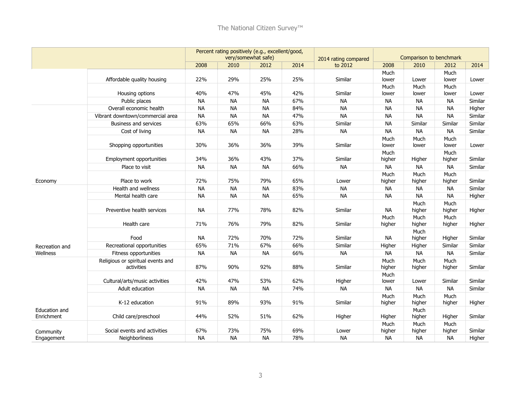|                             |                                                 |           |           | Percent rating positively (e.g., excellent/good,<br>very/somewhat safe) |      | 2014 rating compared |                | Comparison to benchmark |                |         |
|-----------------------------|-------------------------------------------------|-----------|-----------|-------------------------------------------------------------------------|------|----------------------|----------------|-------------------------|----------------|---------|
|                             |                                                 | 2008      | 2010      | 2012                                                                    | 2014 | to 2012              | 2008           | 2010                    | 2012           | 2014    |
|                             | Affordable quality housing                      | 22%       | 29%       | 25%                                                                     | 25%  | Similar              | Much<br>lower  | Lower                   | Much<br>lower  | Lower   |
|                             | Housing options                                 | 40%       | 47%       | 45%                                                                     | 42%  | Similar              | Much<br>lower  | Much<br>lower           | Much<br>lower  | Lower   |
|                             | Public places                                   | <b>NA</b> | <b>NA</b> | <b>NA</b>                                                               | 67%  | <b>NA</b>            | <b>NA</b>      | <b>NA</b>               | <b>NA</b>      | Similar |
|                             | Overall economic health                         | <b>NA</b> | <b>NA</b> | <b>NA</b>                                                               | 84%  | <b>NA</b>            | <b>NA</b>      | <b>NA</b>               | <b>NA</b>      | Higher  |
|                             | Vibrant downtown/commercial area                | <b>NA</b> | <b>NA</b> | <b>NA</b>                                                               | 47%  | <b>NA</b>            | <b>NA</b>      | <b>NA</b>               | <b>NA</b>      | Similar |
|                             | Business and services                           | 63%       | 65%       | 66%                                                                     | 63%  | Similar              | <b>NA</b>      | Similar                 | Similar        | Similar |
|                             | Cost of living                                  | <b>NA</b> | <b>NA</b> | <b>NA</b>                                                               | 28%  | <b>NA</b>            | <b>NA</b>      | <b>NA</b>               | <b>NA</b>      | Similar |
|                             | Shopping opportunities                          | 30%       | 36%       | 36%                                                                     | 39%  | Similar              | Much<br>lower  | Much<br>lower           | Much<br>lower  | Lower   |
|                             | <b>Employment opportunities</b>                 | 34%       | 36%       | 43%                                                                     | 37%  | Similar              | Much<br>higher | Higher                  | Much<br>higher | Similar |
|                             | Place to visit                                  | <b>NA</b> | <b>NA</b> | <b>NA</b>                                                               | 66%  | <b>NA</b>            | <b>NA</b>      | <b>NA</b>               | <b>NA</b>      | Similar |
| Economy                     | Place to work                                   | 72%       | 75%       | 79%                                                                     | 65%  | Lower                | Much<br>higher | Much<br>higher          | Much<br>higher | Similar |
|                             | Health and wellness                             | <b>NA</b> | <b>NA</b> | <b>NA</b>                                                               | 83%  | <b>NA</b>            | <b>NA</b>      | <b>NA</b>               | <b>NA</b>      | Similar |
|                             | Mental health care                              | <b>NA</b> | <b>NA</b> | <b>NA</b>                                                               | 65%  | <b>NA</b>            | <b>NA</b>      | <b>NA</b>               | <b>NA</b>      | Higher  |
|                             | Preventive health services                      | <b>NA</b> | 77%       | 78%                                                                     | 82%  | Similar              | <b>NA</b>      | Much<br>higher          | Much<br>higher | Higher  |
|                             | Health care                                     | 71%       | 76%       | 79%                                                                     | 82%  | Similar              | Much<br>higher | Much<br>higher          | Much<br>higher | Higher  |
|                             | Food                                            | <b>NA</b> | 72%       | 70%                                                                     | 72%  | Similar              | <b>NA</b>      | Much<br>higher          | Higher         | Similar |
| Recreation and              | Recreational opportunities                      | 65%       | 71%       | 67%                                                                     | 66%  | Similar              | Higher         | Higher                  | Similar        | Similar |
| Wellness                    | Fitness opportunities                           | <b>NA</b> | <b>NA</b> | <b>NA</b>                                                               | 66%  | <b>NA</b>            | <b>NA</b>      | <b>NA</b>               | <b>NA</b>      | Similar |
|                             | Religious or spiritual events and<br>activities | 87%       | 90%       | 92%                                                                     | 88%  | Similar              | Much<br>higher | Much<br>higher          | Much<br>higher | Similar |
|                             | Cultural/arts/music activities                  | 42%       | 47%       | 53%                                                                     | 62%  | Higher               | Much<br>lower  | Lower                   | Similar        | Similar |
|                             | Adult education                                 | <b>NA</b> | <b>NA</b> | <b>NA</b>                                                               | 74%  | <b>NA</b>            | <b>NA</b>      | <b>NA</b>               | <b>NA</b>      | Similar |
|                             | K-12 education                                  | 91%       | 89%       | 93%                                                                     | 91%  | Similar              | Much<br>higher | Much<br>higher          | Much<br>higher | Higher  |
| Education and<br>Enrichment | Child care/preschool                            | 44%       | 52%       | 51%                                                                     | 62%  | Higher               | Higher         | Much<br>higher          | Higher         | Similar |
| Community                   | Social events and activities                    | 67%       | 73%       | 75%                                                                     | 69%  | Lower                | Much<br>higher | Much<br>higher          | Much<br>higher | Similar |
| Engagement                  | Neighborliness                                  | <b>NA</b> | <b>NA</b> | <b>NA</b>                                                               | 78%  | <b>NA</b>            | <b>NA</b>      | <b>NA</b>               | <b>NA</b>      | Higher  |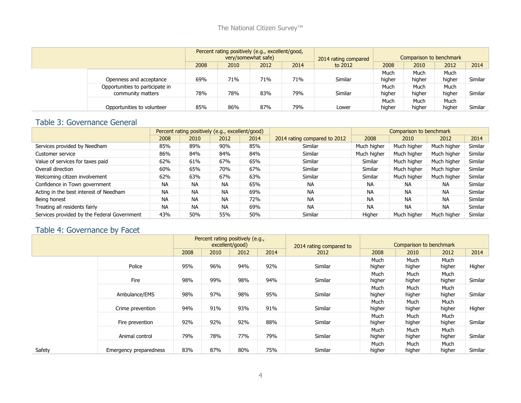#### The National Citizen Survey<sup>™</sup>

|  |                                                      | Percent rating positively (e.g., excellent/good, | very/somewhat safe) |     | 2014 rating compared |         | Comparison to benchmark |                |                |         |
|--|------------------------------------------------------|--------------------------------------------------|---------------------|-----|----------------------|---------|-------------------------|----------------|----------------|---------|
|  |                                                      | 2008<br>2014<br>2010<br>2012                     |                     |     |                      | to 2012 | 2008                    | 2010           | 2012           | 2014    |
|  | Openness and acceptance                              | 69%                                              | 71%                 | 71% | 71%                  | Similar | Much<br>higher          | Much<br>higher | Much<br>higher | Similar |
|  | Opportunities to participate in<br>community matters | 78%                                              | 78%                 | 83% | 79%                  | Similar | Much<br>higher          | Much<br>higher | Much<br>higher | Similar |
|  | Opportunities to volunteer                           | 85%                                              | 86%                 | 87% | 79%                  | Lower   | Much<br>higher          | Much<br>higher | Much<br>higher | Similar |

#### Table 3: Governance General

|                                             |           | Percent rating positively (e.g., excellent/good) |           |      |                              |             | Comparison to benchmark |             |         |
|---------------------------------------------|-----------|--------------------------------------------------|-----------|------|------------------------------|-------------|-------------------------|-------------|---------|
|                                             | 2008      | 2010                                             | 2012      | 2014 | 2014 rating compared to 2012 | 2008        | 2010                    | 2012        | 2014    |
| Services provided by Needham                | 85%       | 89%                                              | 90%       | 85%  | Similar                      | Much higher | Much higher             | Much higher | Similar |
| Customer service                            | 86%       | 84%                                              | 84%       | 84%  | Similar                      | Much higher | Much higher             | Much higher | Similar |
| Value of services for taxes paid            | 62%       | 61%                                              | 67%       | 65%  | Similar                      | Similar     | Much higher             | Much higher | Similar |
| Overall direction                           | 60%       | 65%                                              | 70%       | 67%  | Similar                      | Similar     | Much higher             | Much higher | Similar |
| Welcoming citizen involvement               | 62%       | 63%                                              | 67%       | 63%  | Similar                      | Similar     | Much higher             | Much higher | Similar |
| Confidence in Town government               | <b>NA</b> | <b>NA</b>                                        | <b>NA</b> | 65%  | <b>NA</b>                    | <b>NA</b>   | <b>NA</b>               | <b>NA</b>   | Similar |
| Acting in the best interest of Needham      | <b>NA</b> | <b>NA</b>                                        | <b>NA</b> | 69%  | <b>NA</b>                    | <b>NA</b>   | <b>NA</b>               | <b>NA</b>   | Similar |
| Being honest                                | <b>NA</b> | <b>NA</b>                                        | <b>NA</b> | 72%  | <b>NA</b>                    | NA          | <b>NA</b>               | <b>NA</b>   | Similar |
| Treating all residents fairly               | <b>NA</b> | <b>NA</b>                                        | <b>NA</b> | 69%  | <b>NA</b>                    | <b>NA</b>   | <b>NA</b>               | <b>NA</b>   | Similar |
| Services provided by the Federal Government | 43%       | 50%                                              | 55%       | 50%  | Similar                      | Higher      | Much higher             | Much higher | Similar |

## Table 4: Governance by Facet

|     |                        |      |      | Percent rating positively (e.g.,<br>excellent/good) |      | 2014 rating compared to |                | Comparison to benchmark |                |         |
|-----|------------------------|------|------|-----------------------------------------------------|------|-------------------------|----------------|-------------------------|----------------|---------|
|     |                        | 2008 | 2010 | 2012                                                | 2014 | 2012                    | 2008           | 2010                    | 2012           | 2014    |
|     | Police                 | 95%  | 96%  | 94%                                                 | 92%  | Similar                 | Much<br>higher | Much<br>higher          | Much<br>higher | Higher  |
|     | Fire                   | 98%  | 99%  | 98%                                                 | 94%  | Similar                 | Much<br>higher | Much<br>higher          | Much<br>higher | Similar |
|     | Ambulance/EMS          | 98%  | 97%  | 98%                                                 | 95%  | Similar                 | Much<br>higher | Much<br>higher          | Much<br>higher | Similar |
|     | Crime prevention       | 94%  | 91%  | 93%                                                 | 91%  | Similar                 | Much<br>higher | Much<br>higher          | Much<br>higher | Higher  |
|     | Fire prevention        | 92%  | 92%  | 92%                                                 | 88%  | Similar                 | Much<br>higher | Much<br>higher          | Much<br>higher | Similar |
|     | Animal control         | 79%  | 78%  | 77%                                                 | 79%  | Similar                 | Much<br>higher | Much<br>higher          | Much<br>higher | Similar |
| ety | Emergency preparedness | 83%  | 87%  | 80%                                                 | 75%  | Similar                 | Much<br>higher | Much<br>higher          | Much<br>higher | Similar |

 $Saf$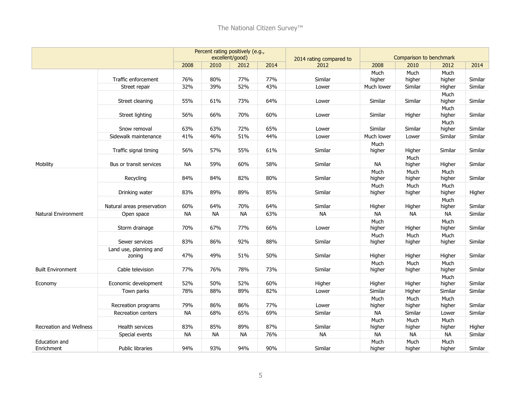|                                |                                  |           |           | Percent rating positively (e.g.,<br>excellent/good) |      | 2014 rating compared to |                | Comparison to benchmark |                |         |
|--------------------------------|----------------------------------|-----------|-----------|-----------------------------------------------------|------|-------------------------|----------------|-------------------------|----------------|---------|
|                                |                                  | 2008      | 2010      | 2012                                                | 2014 | 2012                    | 2008           | 2010                    | 2012           | 2014    |
|                                | Traffic enforcement              | 76%       | 80%       | 77%                                                 | 77%  | Similar                 | Much<br>higher | Much<br>higher          | Much<br>higher | Similar |
|                                | Street repair                    | 32%       | 39%       | 52%                                                 | 43%  | Lower                   | Much lower     | Similar                 | Higher         | Similar |
|                                | Street cleaning                  | 55%       | 61%       | 73%                                                 | 64%  | Lower                   | Similar        | Similar                 | Much<br>higher | Similar |
|                                | Street lighting                  | 56%       | 66%       | 70%                                                 | 60%  | Lower                   | Similar        | Higher                  | Much<br>higher | Similar |
|                                | Snow removal                     | 63%       | 63%       | 72%                                                 | 65%  | Lower                   | Similar        | Similar                 | Much<br>higher | Similar |
|                                | Sidewalk maintenance             | 41%       | 46%       | 51%                                                 | 44%  | Lower                   | Much lower     | Lower                   | Similar        | Similar |
|                                | Traffic signal timing            | 56%       | 57%       | 55%                                                 | 61%  | Similar                 | Much<br>higher | Higher                  | Similar        | Similar |
| Mobility                       | Bus or transit services          | <b>NA</b> | 59%       | 60%                                                 | 58%  | Similar                 | <b>NA</b>      | Much<br>higher          | Higher         | Similar |
|                                | Recycling                        | 84%       | 84%       | 82%                                                 | 80%  | Similar                 | Much<br>higher | Much<br>higher          | Much<br>higher | Similar |
|                                | Drinking water                   | 83%       | 89%       | 89%                                                 | 85%  | Similar                 | Much<br>higher | Much<br>higher          | Much<br>higher | Higher  |
|                                | Natural areas preservation       | 60%       | 64%       | 70%                                                 | 64%  | Similar                 | Higher         | Higher                  | Much<br>higher | Similar |
| Natural Environment            | Open space                       | <b>NA</b> | <b>NA</b> | <b>NA</b>                                           | 63%  | <b>NA</b>               | <b>NA</b>      | <b>NA</b>               | <b>NA</b>      | Similar |
|                                | Storm drainage                   | 70%       | 67%       | 77%                                                 | 66%  | Lower                   | Much<br>higher | Higher                  | Much<br>higher | Similar |
|                                | Sewer services                   | 83%       | 86%       | 92%                                                 | 88%  | Similar                 | Much<br>higher | Much<br>higher          | Much<br>higher | Similar |
|                                | Land use, planning and<br>zoning | 47%       | 49%       | 51%                                                 | 50%  | Similar                 | Higher         | Higher                  | Higher         | Similar |
| <b>Built Environment</b>       | Cable television                 | 77%       | 76%       | 78%                                                 | 73%  | Similar                 | Much<br>higher | Much<br>higher          | Much<br>higher | Similar |
| Economy                        | Economic development             | 52%       | 50%       | 52%                                                 | 60%  | Higher                  | Higher         | Higher                  | Much<br>higher | Similar |
|                                | Town parks                       | 78%       | 88%       | 89%                                                 | 82%  | Lower                   | Similar        | Higher                  | Similar        | Similar |
|                                | Recreation programs              | 79%       | 86%       | 86%                                                 | 77%  | Lower                   | Much<br>higher | Much<br>higher          | Much<br>higher | Similar |
|                                | Recreation centers               | <b>NA</b> | 68%       | 65%                                                 | 69%  | Similar                 | NА             | Similar                 | Lower          | Similar |
| <b>Recreation and Wellness</b> | Health services                  | 83%       | 85%       | 89%                                                 | 87%  | Similar                 | Much<br>higher | Much<br>higher          | Much<br>higher | Higher  |
|                                | Special events                   | <b>NA</b> | <b>NA</b> | <b>NA</b>                                           | 76%  | <b>NA</b>               | <b>NA</b>      | <b>NA</b>               | <b>NA</b>      | Similar |
| Education and<br>Enrichment    | <b>Public libraries</b>          | 94%       | 93%       | 94%                                                 | 90%  | Similar                 | Much<br>higher | Much<br>higher          | Much<br>higher | Similar |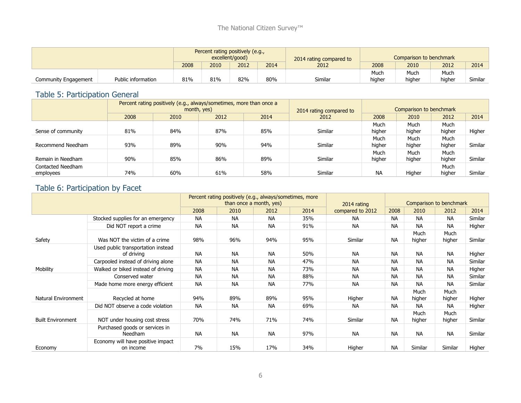|                      |                    |                          |      | Percent rating positively (e.g.,<br>excellent/good) |              | 2014 rating compared to | Comparison to benchmark |        |        |         |  |
|----------------------|--------------------|--------------------------|------|-----------------------------------------------------|--------------|-------------------------|-------------------------|--------|--------|---------|--|
|                      |                    | 2008                     | 2010 | 2012                                                | 2014<br>2012 |                         | 2008                    | 2010   | 2012   | 2014    |  |
|                      |                    |                          |      |                                                     |              |                         | Much                    | Much   | Much   |         |  |
| Community Engagement | Public information | 81%<br>81%<br>82%<br>80% |      |                                                     |              | Similar                 | higher                  | higher | higher | Similar |  |

## Table 5: Participation General

|                    |      |                      | Percent rating positively (e.g., always/sometimes, more than once a<br>month, yes) |     | 2014 rating compared to | Comparison to benchmark |        |        |         |  |
|--------------------|------|----------------------|------------------------------------------------------------------------------------|-----|-------------------------|-------------------------|--------|--------|---------|--|
|                    | 2008 | 2010<br>2012<br>2014 |                                                                                    |     | 2012                    | 2008                    | 2010   | 2012   | 2014    |  |
|                    |      |                      |                                                                                    |     |                         | Much                    | Much   | Much   |         |  |
| Sense of community | 81%  | 84%                  | 87%                                                                                | 85% | Similar                 | higher                  | higher | higher | Higher  |  |
|                    |      |                      |                                                                                    |     |                         | Much                    | Much   | Much   |         |  |
| Recommend Needham  | 93%  | 89%                  | 90%                                                                                | 94% | Similar                 | higher                  | higher | higher | Similar |  |
|                    |      |                      |                                                                                    |     |                         | Much                    | Much   | Much   |         |  |
| Remain in Needham  | 90%  | 85%                  | 86%                                                                                | 89% | Similar                 | higher                  | higher | higher | Similar |  |
| Contacted Needham  |      |                      |                                                                                    |     |                         |                         |        | Much   |         |  |
| employees          | 74%  | 60%                  | 61%                                                                                | 58% | Similar                 | <b>NA</b>               | Higher | higher | Similar |  |

### Table 6: Participation by Facet

|                          |                                                  |           | Percent rating positively (e.g., always/sometimes, more<br>than once a month, yes) |           | 2014 rating |                  | Comparison to benchmark |                |                |         |
|--------------------------|--------------------------------------------------|-----------|------------------------------------------------------------------------------------|-----------|-------------|------------------|-------------------------|----------------|----------------|---------|
|                          |                                                  | 2008      | 2010                                                                               | 2012      | 2014        | compared to 2012 | 2008                    | 2010           | 2012           | 2014    |
|                          | Stocked supplies for an emergency                | <b>NA</b> | <b>NA</b>                                                                          | <b>NA</b> | 35%         | NA.              | <b>NA</b>               | <b>NA</b>      | <b>NA</b>      | Similar |
|                          | Did NOT report a crime                           | <b>NA</b> | <b>NA</b>                                                                          | <b>NA</b> | 91%         | <b>NA</b>        | <b>NA</b>               | <b>NA</b>      | <b>NA</b>      | Higher  |
| Safety                   | Was NOT the victim of a crime                    | 98%       | 96%                                                                                | 94%       | 95%         | Similar          | <b>NA</b>               | Much<br>higher | Much<br>higher | Similar |
|                          | Used public transportation instead<br>of driving | <b>NA</b> | <b>NA</b>                                                                          | <b>NA</b> | 50%         | <b>NA</b>        | <b>NA</b>               | <b>NA</b>      | <b>NA</b>      | Higher  |
|                          | Carpooled instead of driving alone               | <b>NA</b> | <b>NA</b>                                                                          | <b>NA</b> | 47%         | <b>NA</b>        | <b>NA</b>               | <b>NA</b>      | <b>NA</b>      | Similar |
| <b>Mobility</b>          | Walked or biked instead of driving               | <b>NA</b> | <b>NA</b>                                                                          | <b>NA</b> | 73%         | <b>NA</b>        | <b>NA</b>               | <b>NA</b>      | <b>NA</b>      | Higher  |
|                          | Conserved water                                  | <b>NA</b> | <b>NA</b>                                                                          | <b>NA</b> | 88%         | <b>NA</b>        | <b>NA</b>               | <b>NA</b>      | <b>NA</b>      | Similar |
|                          | Made home more energy efficient                  | <b>NA</b> | <b>NA</b>                                                                          | <b>NA</b> | 77%         | <b>NA</b>        | <b>NA</b>               | <b>NA</b>      | <b>NA</b>      | Similar |
| Natural Environment      | Recycled at home                                 | 94%       | 89%                                                                                | 89%       | 95%         | Higher           | <b>NA</b>               | Much<br>higher | Much<br>higher | Higher  |
|                          | Did NOT observe a code violation                 | <b>NA</b> | <b>NA</b>                                                                          | <b>NA</b> | 69%         | <b>NA</b>        | <b>NA</b>               | <b>NA</b>      | <b>NA</b>      | Higher  |
| <b>Built Environment</b> | NOT under housing cost stress                    | 70%       | 74%                                                                                | 71%       | 74%         | Similar          | <b>NA</b>               | Much<br>higher | Much<br>higher | Similar |
|                          | Purchased goods or services in<br>Needham        | <b>NA</b> | <b>NA</b>                                                                          | <b>NA</b> | 97%         | <b>NA</b>        | <b>NA</b>               | <b>NA</b>      | <b>NA</b>      | Similar |
| Economy                  | Economy will have positive impact<br>on income   | 7%        | 15%                                                                                | 17%       | 34%         | Higher           | <b>NA</b>               | Similar        | Similar        | Higher  |